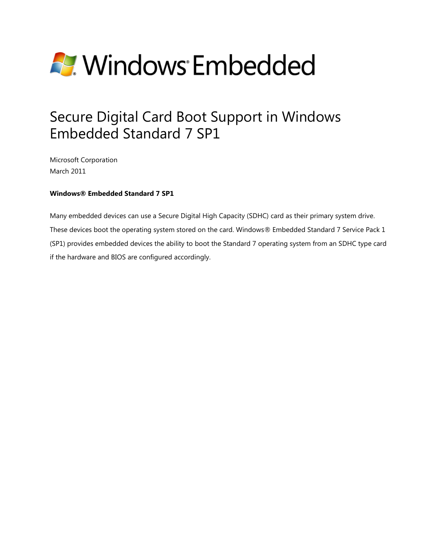

# Secure Digital Card Boot Support in Windows Embedded Standard 7 SP1

Microsoft Corporation March 2011

#### **Windows® Embedded Standard 7 SP1**

Many embedded devices can use a Secure Digital High Capacity (SDHC) card as their primary system drive. These devices boot the operating system stored on the card. Windows® Embedded Standard 7 Service Pack 1 (SP1) provides embedded devices the ability to boot the Standard 7 operating system from an SDHC type card if the hardware and BIOS are configured accordingly.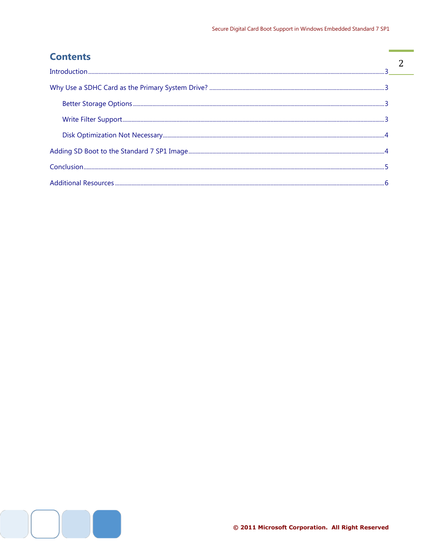÷

 $\overline{2}$ 

÷

#### **Contents**

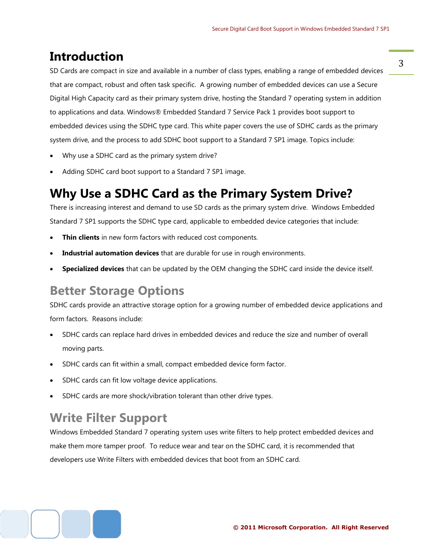#### <span id="page-2-0"></span>**Introduction**

SD Cards are compact in size and available in a number of class types, enabling a range of embedded devices that are compact, robust and often task specific. A growing number of embedded devices can use a Secure Digital High Capacity card as their primary system drive, hosting the Standard 7 operating system in addition to applications and data. Windows® Embedded Standard 7 Service Pack 1 provides boot support to embedded devices using the SDHC type card. This white paper covers the use of SDHC cards as the primary system drive, and the process to add SDHC boot support to a Standard 7 SP1 image. Topics include:

- Why use a SDHC card as the primary system drive?
- Adding SDHC card boot support to a Standard 7 SP1 image.

### <span id="page-2-1"></span>**Why Use a SDHC Card as the Primary System Drive?**

There is increasing interest and demand to use SD cards as the primary system drive. Windows Embedded Standard 7 SP1 supports the SDHC type card, applicable to embedded device categories that include:

- **Thin clients** in new form factors with reduced cost components.
- **Industrial automation devices** that are durable for use in rough environments.
- **Specialized devices** that can be updated by the OEM changing the SDHC card inside the device itself.

### <span id="page-2-2"></span>**Better Storage Options**

SDHC cards provide an attractive storage option for a growing number of embedded device applications and form factors. Reasons include:

- SDHC cards can replace hard drives in embedded devices and reduce the size and number of overall moving parts.
- SDHC cards can fit within a small, compact embedded device form factor.
- SDHC cards can fit low voltage device applications.
- SDHC cards are more shock/vibration tolerant than other drive types.

### <span id="page-2-3"></span>**Write Filter Support**

Windows Embedded Standard 7 operating system uses write filters to help protect embedded devices and make them more tamper proof. To reduce wear and tear on the SDHC card, it is recommended that developers use Write Filters with embedded devices that boot from an SDHC card.

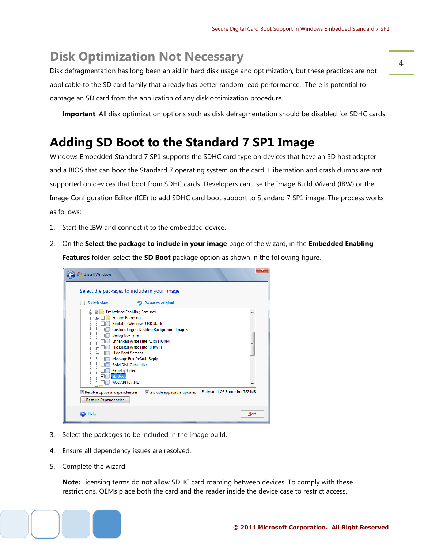4

### <span id="page-3-0"></span>**Disk Optimization Not Necessary**

Disk defragmentation has long been an aid in hard disk usage and optimization, but these practices are not applicable to the SD card family that already has better random read performance. There is potential to damage an SD card from the application of any disk optimization procedure.

**Important**: All disk optimization options such as disk defragmentation should be disabled for SDHC cards.

### <span id="page-3-1"></span>**Adding SD Boot to the Standard 7 SP1 Image**

Windows Embedded Standard 7 SP1 supports the SDHC card type on devices that have an SD host adapter and a BIOS that can boot the Standard 7 operating system on the card. Hibernation and crash dumps are not supported on devices that boot from SDHC cards. Developers can use the Image Build Wizard (IBW) or the Image Configuration Editor (ICE) to add SDHC card boot support to Standard 7 SP1 image. The process works as follows:

- 1. Start the IBW and connect it to the embedded device.
- 2. On the **Select the package to include in your image** page of the wizard, in the **Embedded Enabling Features** folder, select the **SD Boot** package option as shown in the following figure.

| $\mathbf{x}$<br><b>Install Windows</b>                                                                                                                                                                                                                                                                                                                                                                                        |
|-------------------------------------------------------------------------------------------------------------------------------------------------------------------------------------------------------------------------------------------------------------------------------------------------------------------------------------------------------------------------------------------------------------------------------|
| Select the packages to include in your image                                                                                                                                                                                                                                                                                                                                                                                  |
| Revert to original<br>Switch view<br>Œ                                                                                                                                                                                                                                                                                                                                                                                        |
| <b>Embedded Enabling Features</b><br>▴<br><b>Edition Branding</b><br>南<br><b>Bootable Windows USB Stack</b><br>Custom Logon Desktop Background Images<br><b>Dialog Box Filter</b><br><b>Enhanced Write Filter with HORM</b><br>Ξ<br>File Based Write Filter (FBWF)<br><b>Hide Boot Screens</b><br>Message Box Default Reply<br><b>RAM Disk Controller</b><br><b>Registry Filter</b><br>SD Boot<br><b>WSDAPI for .NET</b><br>٠ |
| Estimated OS Footprint: 722 MB<br>V Resolve optional dependencies<br>Include applicable updates<br>Resolve Dependencies                                                                                                                                                                                                                                                                                                       |
| Next<br>Help                                                                                                                                                                                                                                                                                                                                                                                                                  |

- 3. Select the packages to be included in the image build.
- 4. Ensure all dependency issues are resolved.
- 5. Complete the wizard.

**Note:** Licensing terms do not allow SDHC card roaming between devices. To comply with these restrictions, OEMs place both the card and the reader inside the device case to restrict access.

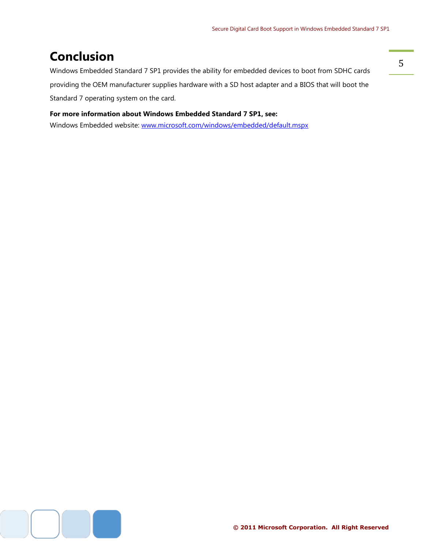## <span id="page-4-0"></span>**Conclusion**

Windows Embedded Standard 7 SP1 provides the ability for embedded devices to boot from SDHC cards providing the OEM manufacturer supplies hardware with a SD host adapter and a BIOS that will boot the Standard 7 operating system on the card.

#### **For more information about Windows Embedded Standard 7 SP1, see:**

Windows Embedded website: [www.microsoft.com/windows/embedded/default.mspx](http://www.microsoft.com/windows/embedded/default.mspx)

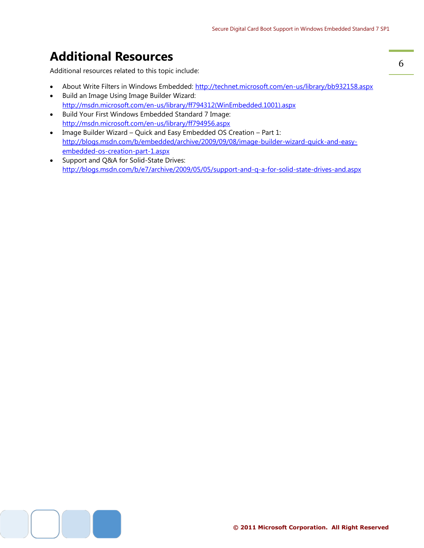### <span id="page-5-0"></span>**Additional Resources**

Additional resources related to this topic include:

- About Write Filters in Windows Embedded:<http://technet.microsoft.com/en-us/library/bb932158.aspx>
- Build an Image Using Image Builder Wizard: [http://msdn.microsoft.com/en-us/library/ff794312\(WinEmbedded.1001\).aspx](http://msdn.microsoft.com/en-us/library/ff794312(WinEmbedded.1001).aspx)
- Build Your First Windows Embedded Standard 7 Image: <http://msdn.microsoft.com/en-us/library/ff794956.aspx>
- Image Builder Wizard Quick and Easy Embedded OS Creation Part 1: [http://blogs.msdn.com/b/embedded/archive/2009/09/08/image-builder-wizard-quick-and-easy](http://blogs.msdn.com/b/embedded/archive/2009/09/08/image-builder-wizard-quick-and-easy-embedded-os-creation-part-1.aspx)[embedded-os-creation-part-1.aspx](http://blogs.msdn.com/b/embedded/archive/2009/09/08/image-builder-wizard-quick-and-easy-embedded-os-creation-part-1.aspx)
- Support and Q&A for Solid-State Drives: <http://blogs.msdn.com/b/e7/archive/2009/05/05/support-and-q-a-for-solid-state-drives-and.aspx>